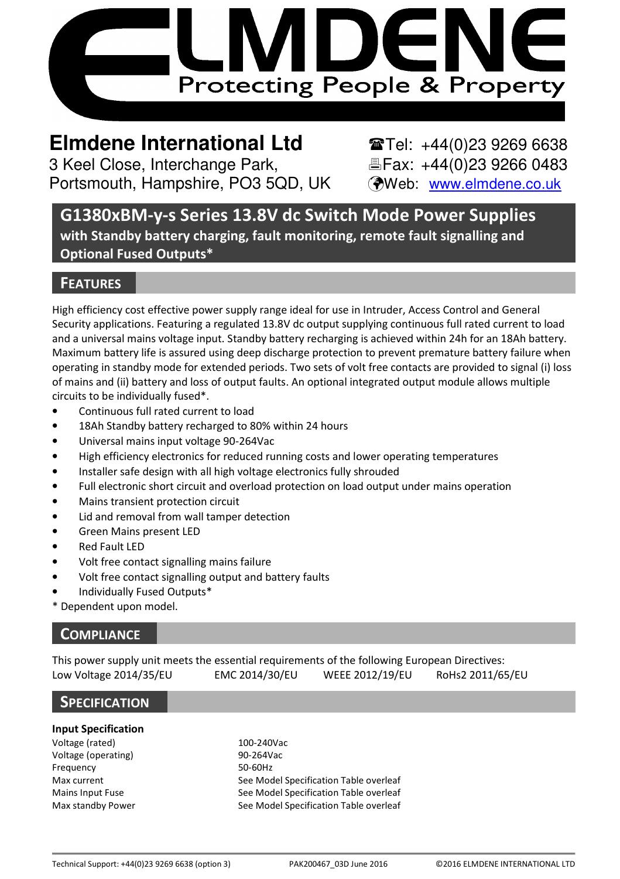

# **Elmdene International Ltd**  $\bullet$  **Tel: +44(0)23 9269 6638**

3 Keel Close, Interchange Park, Eleax: +44(0)23 9266 0483 Portsmouth, Hampshire, PO3 5QD, UK (Web: www.elmdene.co.uk

G1380xBM-y-s Series 13.8V dc Switch Mode Power Supplies with Standby battery charging, fault monitoring, remote fault signalling and Optional Fused Outputs\*

# **FEATURES**

High efficiency cost effective power supply range ideal for use in Intruder, Access Control and General Security applications. Featuring a regulated 13.8V dc output supplying continuous full rated current to load and a universal mains voltage input. Standby battery recharging is achieved within 24h for an 18Ah battery. Maximum battery life is assured using deep discharge protection to prevent premature battery failure when operating in standby mode for extended periods. Two sets of volt free contacts are provided to signal (i) loss of mains and (ii) battery and loss of output faults. An optional integrated output module allows multiple circuits to be individually fused\*.

- Continuous full rated current to load
- 18Ah Standby battery recharged to 80% within 24 hours
- Universal mains input voltage 90-264Vac
- High efficiency electronics for reduced running costs and lower operating temperatures
- Installer safe design with all high voltage electronics fully shrouded
- Full electronic short circuit and overload protection on load output under mains operation
- Mains transient protection circuit
- Lid and removal from wall tamper detection
- Green Mains present LED
- Red Fault LED
- Volt free contact signalling mains failure
- Volt free contact signalling output and battery faults
- Individually Fused Outputs\*
- Dependent upon model.

# **COMPLIANCE**

This power supply unit meets the essential requirements of the following European Directives: Low Voltage 2014/35/EU EMC 2014/30/EU WEEE 2012/19/EU RoHs2 2011/65/EU

### **SPECIFICATION**

#### Input Specification

Voltage (rated) 100-240Vac Voltage (operating) 90-264Vac Frequency 50-60Hz

Max current See Model Specification Table overleaf Mains Input Fuse See Model Specification Table overleaf Max standby Power See Model Specification Table overleaf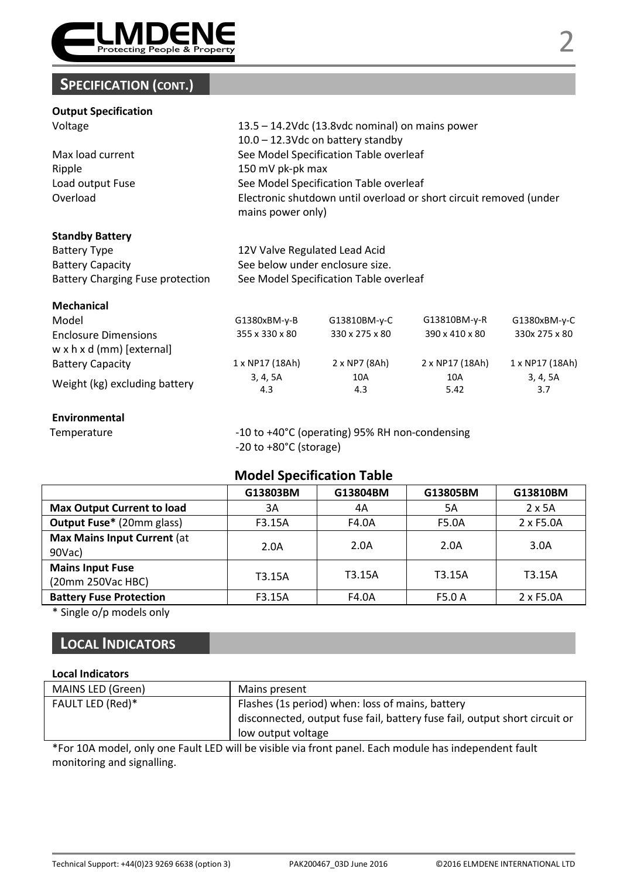

# SPECIFICATION (CONT.)

#### Output Specification

Voltage 13.5 – 14.2Vdc (13.8vdc nominal) on mains power

10.0 – 12.3Vdc on battery standby Max load current See Model Specification Table overleaf Ripple 150 mV pk-pk max Load output Fuse See Model Specification Table overleaf Overload Electronic shutdown until overload or short circuit removed (under mains power only)

#### Standby Battery

| Battery Type                            | 12V Valve Regulated Lead Acid          |
|-----------------------------------------|----------------------------------------|
| <b>Battery Capacity</b>                 | See below under enclosure size.        |
| <b>Battery Charging Fuse protection</b> | See Model Specification Table overleaf |

#### Mechanical

| Model                         | $G1380xBM-y-B$  | G13810BM-y-C   | G13810BM-y-R    | $G1380xBM-y-C$  |
|-------------------------------|-----------------|----------------|-----------------|-----------------|
| <b>Enclosure Dimensions</b>   | 355 x 330 x 80  | 330 x 275 x 80 | 390 x 410 x 80  | 330x 275 x 80   |
| w x h x d (mm) [external]     |                 |                |                 |                 |
| Battery Capacity              | 1 x NP17 (18Ah) | 2 x NP7 (8Ah)  | 2 x NP17 (18Ah) | 1 x NP17 (18Ah) |
| Weight (kg) excluding battery | 3, 4, 5A        | 10A            | 10A             | 3, 4, 5A        |
|                               | 4.3             | 4.3            | 5.42            | 3.7             |

### Environmental

Temperature  $-10$  to +40°C (operating) 95% RH non-condensing -20 to +80°C (storage)

### Model Specification Table

|                                              | G13803BM | G13804BM | G13805BM | G13810BM      |
|----------------------------------------------|----------|----------|----------|---------------|
| <b>Max Output Current to load</b>            | 3A       | 4A       | 5A       | $2 \times 5A$ |
| <b>Output Fuse*</b> (20mm glass)             | F3.15A   | F4.0A    | F5.0A    | 2 x F5.0A     |
| Max Mains Input Current (at<br>90Vac)        | 2.0A     | 2.0A     | 2.0A     | 3.0A          |
| <b>Mains Input Fuse</b><br>(20mm 250Vac HBC) | T3.15A   | T3.15A   | T3.15A   | T3.15A        |
| <b>Battery Fuse Protection</b>               | F3.15A   | F4.0A    | F5.0 A   | 2 x F5.0A     |

\* Single o/p models only

# LOCAL INDICATORS

#### Local Indicators

| MAINS LED (Green) | Mains present                                                              |
|-------------------|----------------------------------------------------------------------------|
| FAULT LED (Red)*  | Flashes (1s period) when: loss of mains, battery                           |
|                   | disconnected, output fuse fail, battery fuse fail, output short circuit or |
|                   | low output voltage                                                         |

\*For 10A model, only one Fault LED will be visible via front panel. Each module has independent fault monitoring and signalling.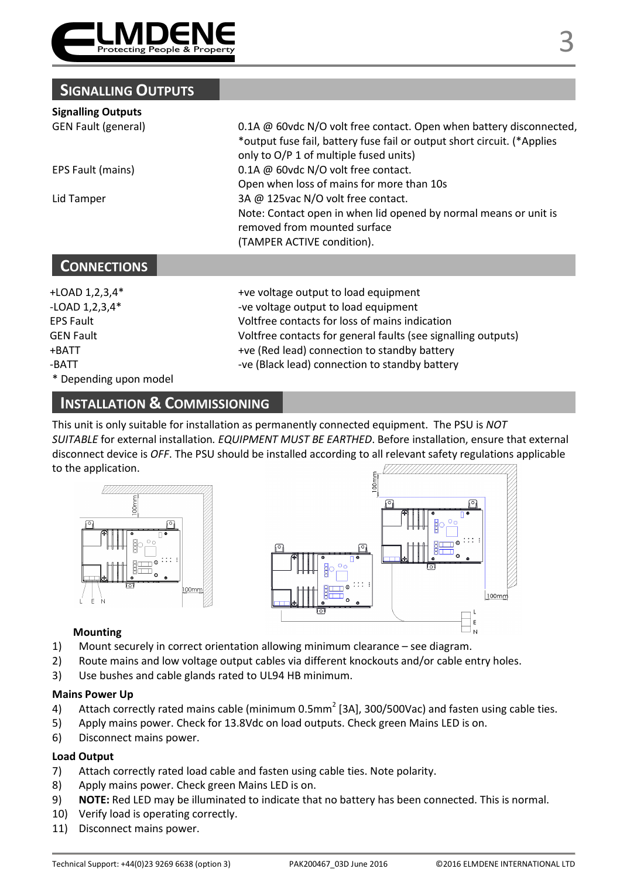

# SIGNALLING OUTPUTS

#### Signalling Outputs

GEN Fault (general) 0.1A @ 60vdc N/O volt free contact. Open when battery disconnected, \*output fuse fail, battery fuse fail or output short circuit. (\*Applies only to O/P 1 of multiple fused units) EPS Fault (mains) 0.1A @ 60vdc N/O volt free contact. Open when loss of mains for more than 10s Lid Tamper 3A @ 125vac N/O volt free contact. Note: Contact open in when lid opened by normal means or unit is removed from mounted surface (TAMPER ACTIVE condition).

# **CONNECTIONS**

\* Depending upon model

+LOAD 1,2,3,4\* +ve voltage output to load equipment -LOAD 1.2.3.4\* -ve voltage output to load equipment EPS Fault Voltfree contacts for loss of mains indication GEN Fault **Interpretatal Contacts for general faults** (see signalling outputs) +BATT +ve (Red lead) connection to standby battery -BATT **-ve (Black lead)** connection to standby battery

# INSTALLATION & COMMISSIONING

This unit is only suitable for installation as permanently connected equipment. The PSU is NOT SUITABLE for external installation. EQUIPMENT MUST BE EARTHED. Before installation, ensure that external disconnect device is OFF. The PSU should be installed according to all relevant safety regulations applicable to the application.





### Mounting

- 1) Mount securely in correct orientation allowing minimum clearance see diagram.
- 2) Route mains and low voltage output cables via different knockouts and/or cable entry holes.
- 3) Use bushes and cable glands rated to UL94 HB minimum.

#### Mains Power Up

- 4) Attach correctly rated mains cable (minimum 0.5mm<sup>2</sup> [3A], 300/500Vac) and fasten using cable ties.
- 5) Apply mains power. Check for 13.8Vdc on load outputs. Check green Mains LED is on.
- 6) Disconnect mains power.

### Load Output

- 7) Attach correctly rated load cable and fasten using cable ties. Note polarity.
- 8) Apply mains power. Check green Mains LED is on.
- 9) NOTE: Red LED may be illuminated to indicate that no battery has been connected. This is normal.
- 10) Verify load is operating correctly.
- 11) Disconnect mains power.